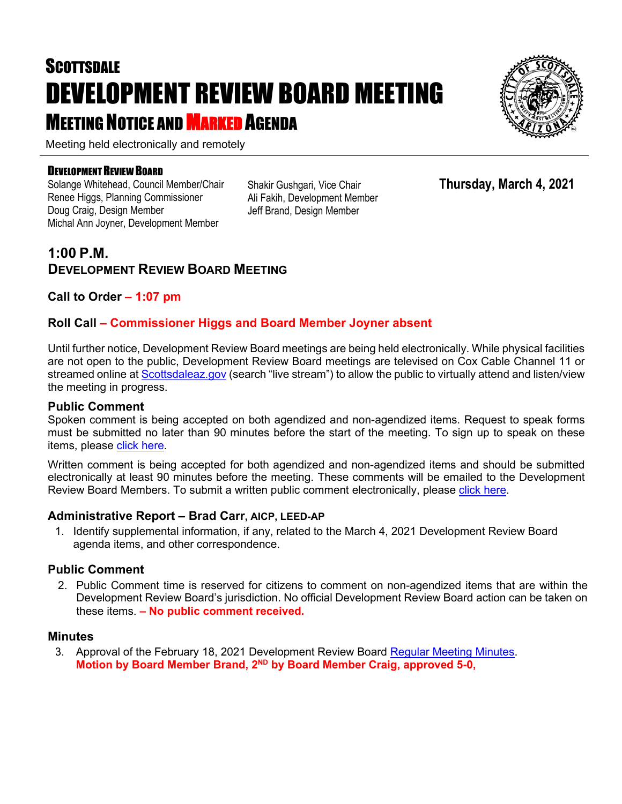# **SCOTTSDALE** DEVELOPMENT REVIEW BOARD MEETING **MEETING NOTICE AND MARKED AGENDA**



#### DEVELOPMENT REVIEW BOARD

Solange Whitehead, Council Member/Chair Renee Higgs, Planning Commissioner Doug Craig, Design Member Michal Ann Joyner, Development Member

Shakir Gushgari, Vice Chair Ali Fakih, Development Member Jeff Brand, Design Member

# **1:00 P.M. DEVELOPMENT REVIEW BOARD MEETING**

## **Call to Order – 1:07 pm**

## **Roll Call – Commissioner Higgs and Board Member Joyner absent**

Until further notice, Development Review Board meetings are being held electronically. While physical facilities are not open to the public, Development Review Board meetings are televised on Cox Cable Channel 11 or streamed online at [Scottsdaleaz.gov](https://www.scottsdaleaz.gov/) (search "live stream") to allow the public to virtually attend and listen/view the meeting in progress.

#### **Public Comment**

Spoken comment is being accepted on both agendized and non-agendized items. Request to speak forms must be submitted no later than 90 minutes before the start of the meeting. To sign up to speak on these items, please [click here.](https://www.scottsdaleaz.gov/boards/development-review-board/spoken-comment)

Written comment is being accepted for both agendized and non-agendized items and should be submitted electronically at least 90 minutes before the meeting. These comments will be emailed to the Development Review Board Members. To submit a written public comment electronically, please [click here.](https://www.scottsdaleaz.gov/boards/development-review-board/public-comment)

#### **Administrative Report – Brad Carr, AICP, LEED-AP**

1. Identify supplemental information, if any, related to the March 4, 2021 Development Review Board agenda items, and other correspondence.

#### **Public Comment**

2. Public Comment time is reserved for citizens to comment on non-agendized items that are within the Development Review Board's jurisdiction. No official Development Review Board action can be taken on these items. **– No public comment received.**

#### **Minutes**

3. Approval of the February 18, 2021 Development Review Board [Regular Meeting Minutes.](https://eservices.scottsdaleaz.gov/planning/projectsummary/unrelated_documents/DRB_MEETING_MINUTES_02182021.pdf) **Motion by Board Member Brand, 2ND by Board Member Craig, approved 5-0,** 



**Thursday, March 4, 2021**